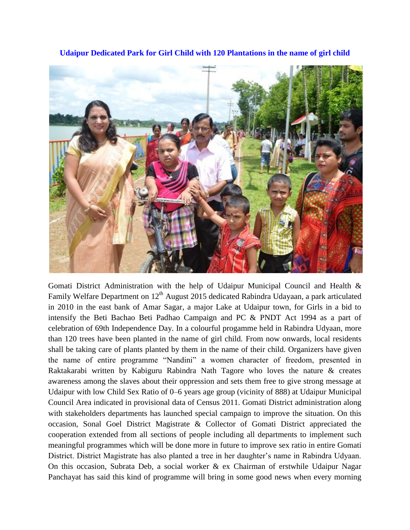

**Udaipur Dedicated Park for Girl Child with 120 Plantations in the name of girl child**

Gomati District Administration with the help of Udaipur Municipal Council and Health & Family Welfare Department on 12<sup>th</sup> August 2015 dedicated Rabindra Udayaan, a park articulated in 2010 in the east bank of Amar Sagar, a major Lake at Udaipur town, for Girls in a bid to intensify the Beti Bachao Beti Padhao Campaign and PC & PNDT Act 1994 as a part of celebration of 69th Independence Day. In a colourful progamme held in Rabindra Udyaan, more than 120 trees have been planted in the name of girl child. From now onwards, local residents shall be taking care of plants planted by them in the name of their child. Organizers have given the name of entire programme "Nandini" a women character of freedom, presented in Raktakarabi written by Kabiguru Rabindra Nath Tagore who loves the nature & creates awareness among the slaves about their oppression and sets them free to give strong message at Udaipur with low Child Sex Ratio of 0–6 years age group (vicinity of 888) at Udaipur Municipal Council Area indicated in provisional data of Census 2011. Gomati District administration along with stakeholders departments has launched special campaign to improve the situation. On this occasion, Sonal Goel District Magistrate & Collector of Gomati District appreciated the cooperation extended from all sections of people including all departments to implement such meaningful programmes which will be done more in future to improve sex ratio in entire Gomati District. District Magistrate has also planted a tree in her daughter's name in Rabindra Udyaan. On this occasion, Subrata Deb, a social worker & ex Chairman of erstwhile Udaipur Nagar Panchayat has said this kind of programme will bring in some good news when every morning